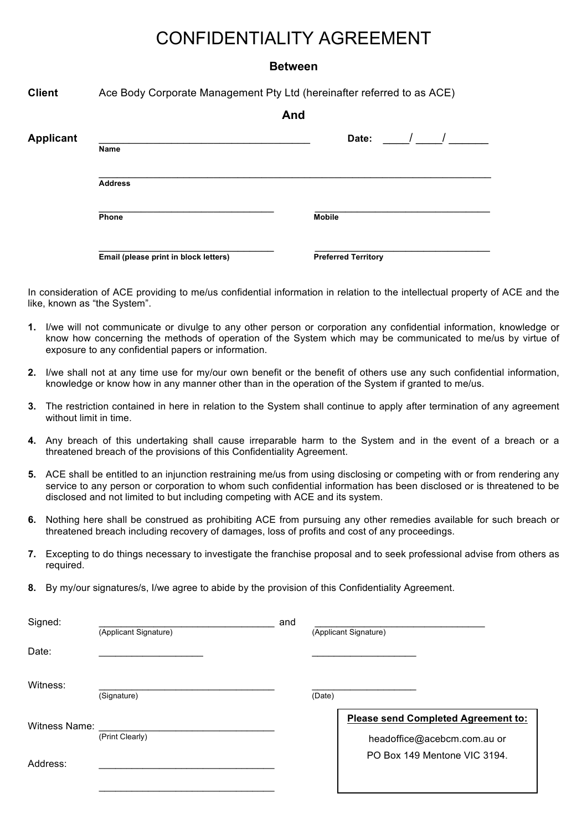# CONFIDENTIALITY AGREEMENT

#### **Between**

**Client** Ace Body Corporate Management Pty Ltd (hereinafter referred to as ACE)

|                  |                                       | And |                            |  |
|------------------|---------------------------------------|-----|----------------------------|--|
| <b>Applicant</b> |                                       |     | Date:                      |  |
|                  | Name                                  |     |                            |  |
|                  | <b>Address</b>                        |     |                            |  |
|                  | Phone                                 |     | <b>Mobile</b>              |  |
|                  | Email (please print in block letters) |     | <b>Preferred Territory</b> |  |

In consideration of ACE providing to me/us confidential information in relation to the intellectual property of ACE and the like, known as "the System".

- **1.** I/we will not communicate or divulge to any other person or corporation any confidential information, knowledge or know how concerning the methods of operation of the System which may be communicated to me/us by virtue of exposure to any confidential papers or information.
- **2.** I/we shall not at any time use for my/our own benefit or the benefit of others use any such confidential information, knowledge or know how in any manner other than in the operation of the System if granted to me/us.
- **3.** The restriction contained in here in relation to the System shall continue to apply after termination of any agreement without limit in time.
- **4.** Any breach of this undertaking shall cause irreparable harm to the System and in the event of a breach or a threatened breach of the provisions of this Confidentiality Agreement.
- **5.** ACE shall be entitled to an injunction restraining me/us from using disclosing or competing with or from rendering any service to any person or corporation to whom such confidential information has been disclosed or is threatened to be disclosed and not limited to but including competing with ACE and its system.
- **6.** Nothing here shall be construed as prohibiting ACE from pursuing any other remedies available for such breach or threatened breach including recovery of damages, loss of profits and cost of any proceedings.
- **7.** Excepting to do things necessary to investigate the franchise proposal and to seek professional advise from others as required.
- **8.** By my/our signatures/s, I/we agree to abide by the provision of this Confidentiality Agreement.

| Signed:       |                       | and |        |                                                                           |
|---------------|-----------------------|-----|--------|---------------------------------------------------------------------------|
|               | (Applicant Signature) |     |        | (Applicant Signature)                                                     |
| Date:         |                       |     |        |                                                                           |
| Witness:      | (Signature)           |     | (Date) |                                                                           |
| Witness Name: | (Print Clearly)       |     |        | <b>Please send Completed Agreement to:</b><br>headoffice@acebcm.com.au or |
| Address:      |                       |     |        | PO Box 149 Mentone VIC 3194.                                              |
|               |                       |     |        |                                                                           |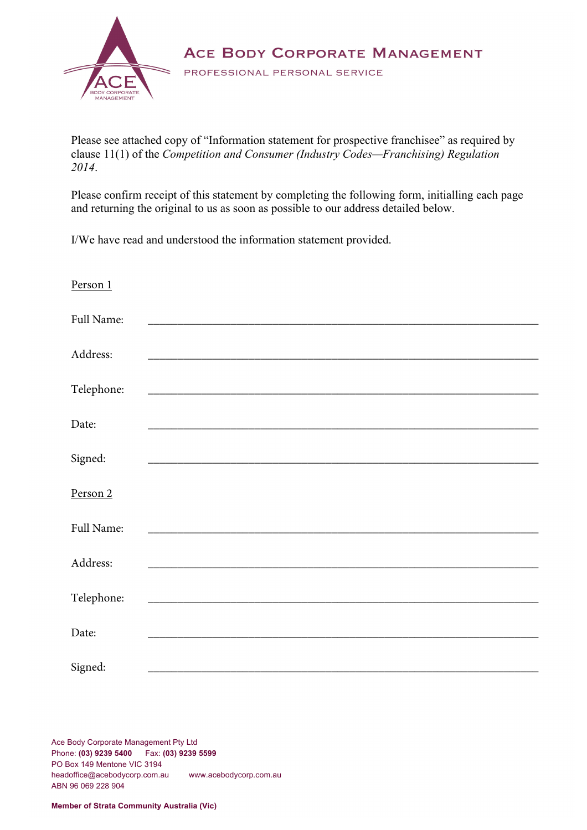

ACE BODY CORPORATE MANAGEMENT

PROFESSIONAL PERSONAL SERVICE

Please see attached copy of "Information statement for prospective franchisee" as required by clause 11(1) of the *Competition and Consumer (Industry Codes—Franchising) Regulation 2014*.

Please confirm receipt of this statement by completing the following form, initialling each page and returning the original to us as soon as possible to our address detailed below.

I/We have read and understood the information statement provided.

| Person 1   |                                                                    |
|------------|--------------------------------------------------------------------|
| Full Name: | <u> 1980 - Jan Samuel Barbara, margaret eta idazlea (h. 1980).</u> |
| Address:   |                                                                    |
| Telephone: |                                                                    |
| Date:      |                                                                    |
| Signed:    |                                                                    |
| Person 2   |                                                                    |
| Full Name: |                                                                    |
| Address:   |                                                                    |
| Telephone: |                                                                    |
| Date:      |                                                                    |
| Signed:    |                                                                    |

Ace Body Corporate Management Pty Ltd Phone: **(03) 9239 5400** Fax: **(03) 9239 5599** PO Box 149 Mentone VIC 3194 headoffice@acebodycorp.com.au www.acebodycorp.com.au ABN 96 069 228 904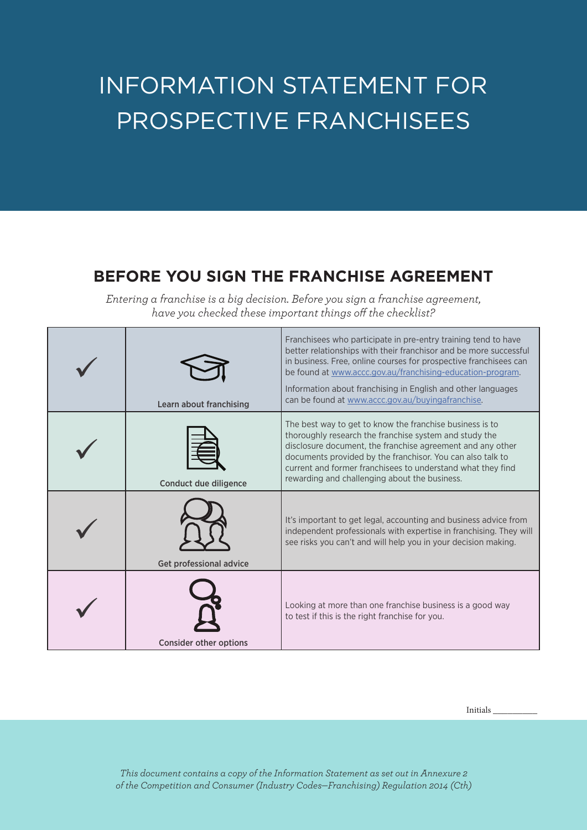# INFORMATION STATEMENT FOR PROSPECTIVE FRANCHISEES

# **BEFORE YOU SIGN THE FRANCHISE AGREEMENT**

*Entering a franchise is a big decision. Before you sign a franchise agreement, have you checked these important things off the checklist?*

| Learn about franchising       | Franchisees who participate in pre-entry training tend to have<br>better relationships with their franchisor and be more successful<br>in business. Free, online courses for prospective franchisees can<br>be found at www.accc.gov.au/franchising-education-program.<br>Information about franchising in English and other languages<br>can be found at www.accc.gov.au/buyingafranchise. |
|-------------------------------|---------------------------------------------------------------------------------------------------------------------------------------------------------------------------------------------------------------------------------------------------------------------------------------------------------------------------------------------------------------------------------------------|
| Conduct due diligence         | The best way to get to know the franchise business is to<br>thoroughly research the franchise system and study the<br>disclosure document, the franchise agreement and any other<br>documents provided by the franchisor. You can also talk to<br>current and former franchisees to understand what they find<br>rewarding and challenging about the business.                              |
| Get professional advice       | It's important to get legal, accounting and business advice from<br>independent professionals with expertise in franchising. They will<br>see risks you can't and will help you in your decision making.                                                                                                                                                                                    |
| <b>Consider other options</b> | Looking at more than one franchise business is a good way<br>to test if this is the right franchise for you.                                                                                                                                                                                                                                                                                |

Initials \_\_\_\_\_\_\_\_\_

*This document contains a copy of the Information Statement as set out in Annexure 2 of the Competition and Consumer (Industry Codes—Franchising) Regulation 2014 (Cth)*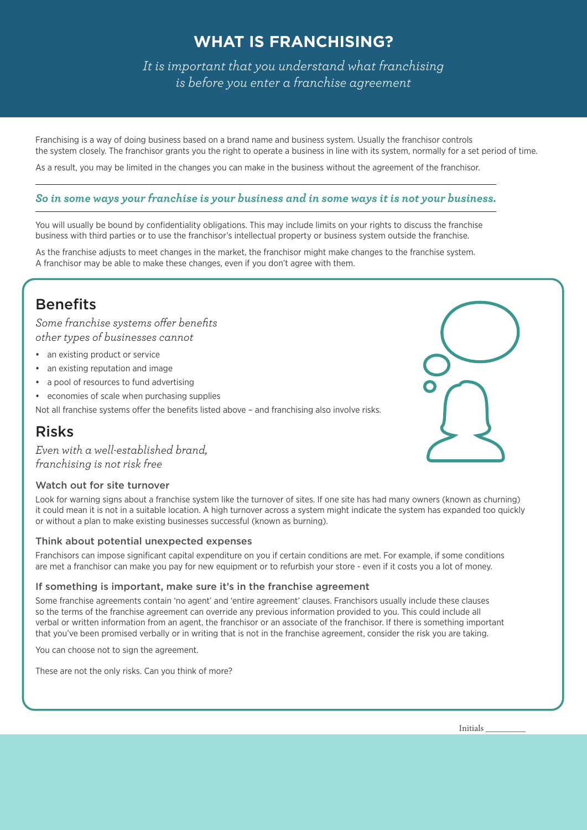# **WHAT IS FRANCHISING?**

*It is important that you understand what franchising is before you enter a franchise agreement*

Franchising is a way of doing business based on a brand name and business system. Usually the franchisor controls the system closely. The franchisor grants you the right to operate a business in line with its system, normally for a set period of time.

As a result, you may be limited in the changes you can make in the business without the agreement of the franchisor.

#### *So in some ways your franchise is your business and in some ways it is not your business.*

You will usually be bound by confidentiality obligations. This may include limits on your rights to discuss the franchise business with third parties or to use the franchisor's intellectual property or business system outside the franchise.

As the franchise adjusts to meet changes in the market, the franchisor might make changes to the franchise system. A franchisor may be able to make these changes, even if you don't agree with them.

# **Benefits**

*Some franchise systems offer benefits other types of businesses cannot*

- an existing product or service
- an existing reputation and image
- a pool of resources to fund advertising
- economies of scale when purchasing supplies

Not all franchise systems offer the benefits listed above - and franchising also involve risks.

# Risks

*Even with a well-established brand, franchising is not risk free*

#### Watch out for site turnover

Look for warning signs about a franchise system like the turnover of sites. If one site has had many owners (known as churning) it could mean it is not in a suitable location. A high turnover across a system might indicate the system has expanded too quickly or without a plan to make existing businesses successful (known as burning).

#### Think about potential unexpected expenses

Franchisors can impose significant capital expenditure on you if certain conditions are met. For example, if some conditions are met a franchisor can make you pay for new equipment or to refurbish your store - even if it costs you a lot of money.

#### If something is important, make sure it's in the franchise agreement

Some franchise agreements contain 'no agent' and 'entire agreement' clauses. Franchisors usually include these clauses so the terms of the franchise agreement can override any previous information provided to you. This could include all verbal or written information from an agent, the franchisor or an associate of the franchisor. If there is something important that you've been promised verbally or in writing that is not in the franchise agreement, consider the risk you are taking.

You can choose not to sign the agreement.

These are not the only risks. Can you think of more?



Initials \_\_\_\_\_\_\_\_\_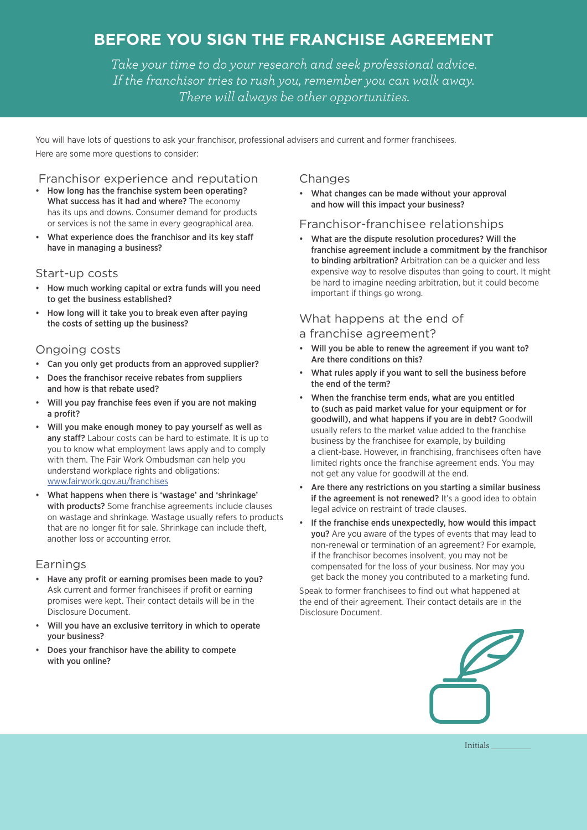# **BEFORE YOU SIGN THE FRANCHISE AGREEMENT**

*Take your time to do your research and seek professional advice. If the franchisor tries to rush you, remember you can walk away. There will always be other opportunities.*

You will have lots of questions to ask your franchisor, professional advisers and current and former franchisees. Here are some more questions to consider:

#### Franchisor experience and reputation

- How long has the franchise system been operating? What success has it had and where? The economy has its ups and downs. Consumer demand for products or services is not the same in every geographical area.
- What experience does the franchisor and its key staff have in managing a business?

#### Start-up costs

- How much working capital or extra funds will you need to get the business established?
- How long will it take you to break even after paying the costs of setting up the business?

#### Ongoing costs

- Can you only get products from an approved supplier?
- Does the franchisor receive rebates from suppliers and how is that rebate used?
- Will you pay franchise fees even if you are not making a profit?
- Will you make enough money to pay yourself as well as any staff? Labour costs can be hard to estimate. It is up to you to know what employment laws apply and to comply with them. The Fair Work Ombudsman can help you understand workplace rights and obligations: [www.fairwork.gov.au/franchises](http://www.fairwork.gov.au/franchises)
- What happens when there is 'wastage' and 'shrinkage' with products? Some franchise agreements include clauses on wastage and shrinkage. Wastage usually refers to products that are no longer fit for sale. Shrinkage can include theft, another loss or accounting error.

#### Earnings

- Have any profit or earning promises been made to you? Ask current and former franchisees if profit or earning promises were kept. Their contact details will be in the Disclosure Document.
- Will you have an exclusive territory in which to operate your business?
- Does your franchisor have the ability to compete with you online?

#### **Changes**

• What changes can be made without your approval and how will this impact your business?

#### Franchisor-franchisee relationships

• What are the dispute resolution procedures? Will the franchise agreement include a commitment by the franchisor to binding arbitration? Arbitration can be a quicker and less expensive way to resolve disputes than going to court. It might be hard to imagine needing arbitration, but it could become important if things go wrong.

#### What happens at the end of

- a franchise agreement?
- Will you be able to renew the agreement if you want to? Are there conditions on this?
- What rules apply if you want to sell the business before the end of the term?
- When the franchise term ends, what are you entitled to (such as paid market value for your equipment or for goodwill), and what happens if you are in debt? Goodwill usually refers to the market value added to the franchise business by the franchisee for example, by building a client-base. However, in franchising, franchisees often have limited rights once the franchise agreement ends. You may not get any value for goodwill at the end.
- Are there any restrictions on you starting a similar business if the agreement is not renewed? It's a good idea to obtain legal advice on restraint of trade clauses.
- If the franchise ends unexpectedly, how would this impact you? Are you aware of the types of events that may lead to non-renewal or termination of an agreement? For example, if the franchisor becomes insolvent, you may not be compensated for the loss of your business. Nor may you get back the money you contributed to a marketing fund.

Speak to former franchisees to find out what happened at the end of their agreement. Their contact details are in the Disclosure Document.